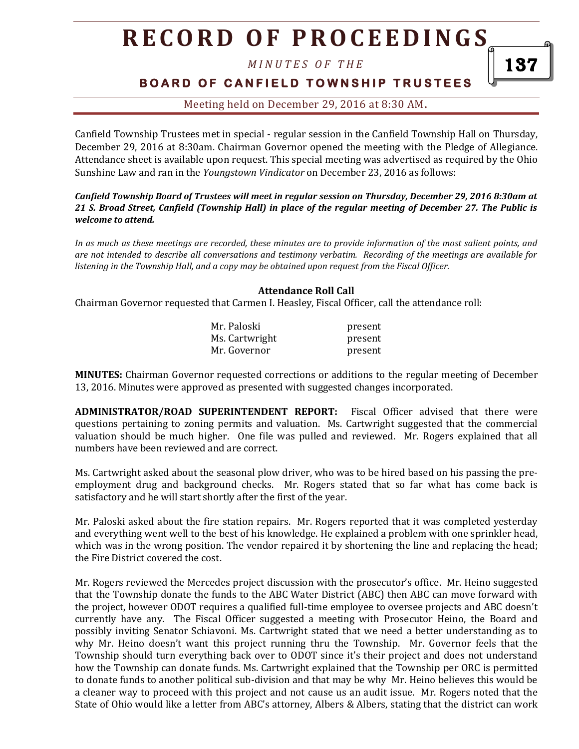# **R E C O R D O F P R O C E E D I N G S**

*M I N U T E S O F T H E* 

## **BOARD OF CANFIELD TOWNSHIP TRUSTEES**

137

Meeting held on December 29, 2016 at 8:30 AM**.**

Canfield Township Trustees met in special - regular session in the Canfield Township Hall on Thursday, December 29, 2016 at 8:30am. Chairman Governor opened the meeting with the Pledge of Allegiance. Attendance sheet is available upon request. This special meeting was advertised as required by the Ohio Sunshine Law and ran in the *Youngstown Vindicator* on December 23, 2016 as follows:

*Canfield Township Board of Trustees will meet in regular session on Thursday, December 29, 2016 8:30am at 21 S. Broad Street, Canfield (Township Hall) in place of the regular meeting of December 27. The Public is welcome to attend.*

*In as much as these meetings are recorded, these minutes are to provide information of the most salient points, and are not intended to describe all conversations and testimony verbatim. Recording of the meetings are available for listening in the Township Hall, and a copy may be obtained upon request from the Fiscal Officer.* 

#### **Attendance Roll Call**

Chairman Governor requested that Carmen I. Heasley, Fiscal Officer, call the attendance roll:

| Mr. Paloski    | present |
|----------------|---------|
| Ms. Cartwright | present |
| Mr. Governor   | present |

**MINUTES:** Chairman Governor requested corrections or additions to the regular meeting of December 13, 2016. Minutes were approved as presented with suggested changes incorporated.

**ADMINISTRATOR/ROAD SUPERINTENDENT REPORT:** Fiscal Officer advised that there were questions pertaining to zoning permits and valuation. Ms. Cartwright suggested that the commercial valuation should be much higher. One file was pulled and reviewed. Mr. Rogers explained that all numbers have been reviewed and are correct.

Ms. Cartwright asked about the seasonal plow driver, who was to be hired based on his passing the preemployment drug and background checks. Mr. Rogers stated that so far what has come back is satisfactory and he will start shortly after the first of the year.

Mr. Paloski asked about the fire station repairs. Mr. Rogers reported that it was completed yesterday and everything went well to the best of his knowledge. He explained a problem with one sprinkler head, which was in the wrong position. The vendor repaired it by shortening the line and replacing the head; the Fire District covered the cost.

Mr. Rogers reviewed the Mercedes project discussion with the prosecutor's office. Mr. Heino suggested that the Township donate the funds to the ABC Water District (ABC) then ABC can move forward with the project, however ODOT requires a qualified full-time employee to oversee projects and ABC doesn't currently have any. The Fiscal Officer suggested a meeting with Prosecutor Heino, the Board and possibly inviting Senator Schiavoni. Ms. Cartwright stated that we need a better understanding as to why Mr. Heino doesn't want this project running thru the Township. Mr. Governor feels that the Township should turn everything back over to ODOT since it's their project and does not understand how the Township can donate funds. Ms. Cartwright explained that the Township per ORC is permitted to donate funds to another political sub-division and that may be why Mr. Heino believes this would be a cleaner way to proceed with this project and not cause us an audit issue. Mr. Rogers noted that the State of Ohio would like a letter from ABC's attorney, Albers & Albers, stating that the district can work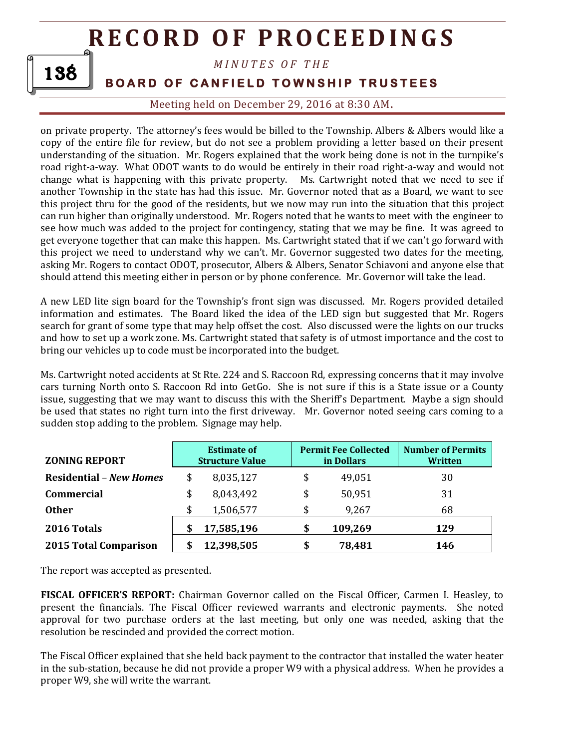# **R E C O R D O F P R O C E E D I N GS**



### *M I N U T E S O F T H E*

## **BOARD OF CANFIELD TOWNSHIP TRUSTEES**

Meeting held on December 29, 2016 at 8:30 AM**.**

on private property. The attorney's fees would be billed to the Township. Albers & Albers would like a copy of the entire file for review, but do not see a problem providing a letter based on their present understanding of the situation. Mr. Rogers explained that the work being done is not in the turnpike's road right-a-way. What ODOT wants to do would be entirely in their road right-a-way and would not change what is happening with this private property. Ms. Cartwright noted that we need to see if another Township in the state has had this issue. Mr. Governor noted that as a Board, we want to see this project thru for the good of the residents, but we now may run into the situation that this project can run higher than originally understood. Mr. Rogers noted that he wants to meet with the engineer to see how much was added to the project for contingency, stating that we may be fine. It was agreed to get everyone together that can make this happen. Ms. Cartwright stated that if we can't go forward with this project we need to understand why we can't. Mr. Governor suggested two dates for the meeting, asking Mr. Rogers to contact ODOT, prosecutor, Albers & Albers, Senator Schiavoni and anyone else that should attend this meeting either in person or by phone conference. Mr. Governor will take the lead.

A new LED lite sign board for the Township's front sign was discussed. Mr. Rogers provided detailed information and estimates. The Board liked the idea of the LED sign but suggested that Mr. Rogers search for grant of some type that may help offset the cost. Also discussed were the lights on our trucks and how to set up a work zone. Ms. Cartwright stated that safety is of utmost importance and the cost to bring our vehicles up to code must be incorporated into the budget.

Ms. Cartwright noted accidents at St Rte. 224 and S. Raccoon Rd, expressing concerns that it may involve cars turning North onto S. Raccoon Rd into GetGo. She is not sure if this is a State issue or a County issue, suggesting that we may want to discuss this with the Sheriff's Department. Maybe a sign should be used that states no right turn into the first driveway. Mr. Governor noted seeing cars coming to a sudden stop adding to the problem. Signage may help.

| <b>ZONING REPORT</b>           | <b>Estimate of</b><br><b>Structure Value</b> |            | <b>Permit Fee Collected</b><br>in Dollars | <b>Number of Permits</b><br>Written |
|--------------------------------|----------------------------------------------|------------|-------------------------------------------|-------------------------------------|
| <b>Residential - New Homes</b> | \$                                           | 8,035,127  | \$<br>49,051                              | 30                                  |
| <b>Commercial</b>              | \$                                           | 8,043,492  | \$<br>50,951                              | 31                                  |
| <b>Other</b>                   | \$                                           | 1,506,577  | \$<br>9,267                               | 68                                  |
| 2016 Totals                    | S                                            | 17,585,196 | \$<br>109,269                             | 129                                 |
| 2015 Total Comparison          |                                              | 12,398,505 | \$<br>78,481                              | 146                                 |

The report was accepted as presented.

**FISCAL OFFICER'S REPORT:** Chairman Governor called on the Fiscal Officer, Carmen I. Heasley, to present the financials. The Fiscal Officer reviewed warrants and electronic payments. She noted approval for two purchase orders at the last meeting, but only one was needed, asking that the resolution be rescinded and provided the correct motion.

The Fiscal Officer explained that she held back payment to the contractor that installed the water heater in the sub-station, because he did not provide a proper W9 with a physical address. When he provides a proper W9, she will write the warrant.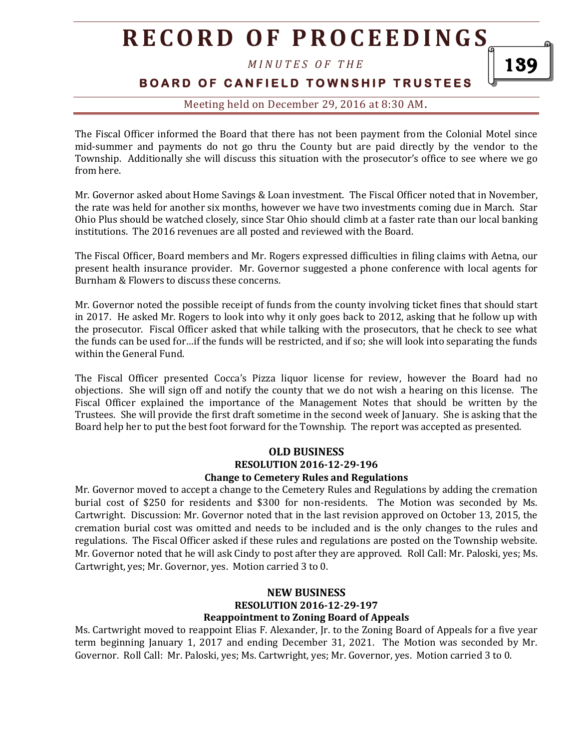# **R E C O R D O F P R O C E E D I N G S**

*M I N U T E S O F T H E* 

### **BOARD OF CANFIELD TOWNSHIP TRUSTEES**

### Meeting held on December 29, 2016 at 8:30 AM**.**

The Fiscal Officer informed the Board that there has not been payment from the Colonial Motel since mid-summer and payments do not go thru the County but are paid directly by the vendor to the Township. Additionally she will discuss this situation with the prosecutor's office to see where we go from here.

Mr. Governor asked about Home Savings & Loan investment. The Fiscal Officer noted that in November, the rate was held for another six months, however we have two investments coming due in March. Star Ohio Plus should be watched closely, since Star Ohio should climb at a faster rate than our local banking institutions. The 2016 revenues are all posted and reviewed with the Board.

The Fiscal Officer, Board members and Mr. Rogers expressed difficulties in filing claims with Aetna, our present health insurance provider. Mr. Governor suggested a phone conference with local agents for Burnham & Flowers to discuss these concerns.

Mr. Governor noted the possible receipt of funds from the county involving ticket fines that should start in 2017. He asked Mr. Rogers to look into why it only goes back to 2012, asking that he follow up with the prosecutor. Fiscal Officer asked that while talking with the prosecutors, that he check to see what the funds can be used for…if the funds will be restricted, and if so; she will look into separating the funds within the General Fund.

The Fiscal Officer presented Cocca's Pizza liquor license for review, however the Board had no objections. She will sign off and notify the county that we do not wish a hearing on this license. The Fiscal Officer explained the importance of the Management Notes that should be written by the Trustees. She will provide the first draft sometime in the second week of January. She is asking that the Board help her to put the best foot forward for the Township. The report was accepted as presented.

#### **OLD BUSINESS RESOLUTION 2016-12-29-196 Change to Cemetery Rules and Regulations**

Mr. Governor moved to accept a change to the Cemetery Rules and Regulations by adding the cremation burial cost of \$250 for residents and \$300 for non-residents. The Motion was seconded by Ms. Cartwright. Discussion: Mr. Governor noted that in the last revision approved on October 13, 2015, the cremation burial cost was omitted and needs to be included and is the only changes to the rules and regulations. The Fiscal Officer asked if these rules and regulations are posted on the Township website. Mr. Governor noted that he will ask Cindy to post after they are approved. Roll Call: Mr. Paloski, yes; Ms. Cartwright, yes; Mr. Governor, yes. Motion carried 3 to 0.

#### **NEW BUSINESS RESOLUTION 2016-12-29-197 Reappointment to Zoning Board of Appeals**

Ms. Cartwright moved to reappoint Elias F. Alexander, Jr. to the Zoning Board of Appeals for a five year term beginning January 1, 2017 and ending December 31, 2021. The Motion was seconded by Mr. Governor. Roll Call: Mr. Paloski, yes; Ms. Cartwright, yes; Mr. Governor, yes. Motion carried 3 to 0.

139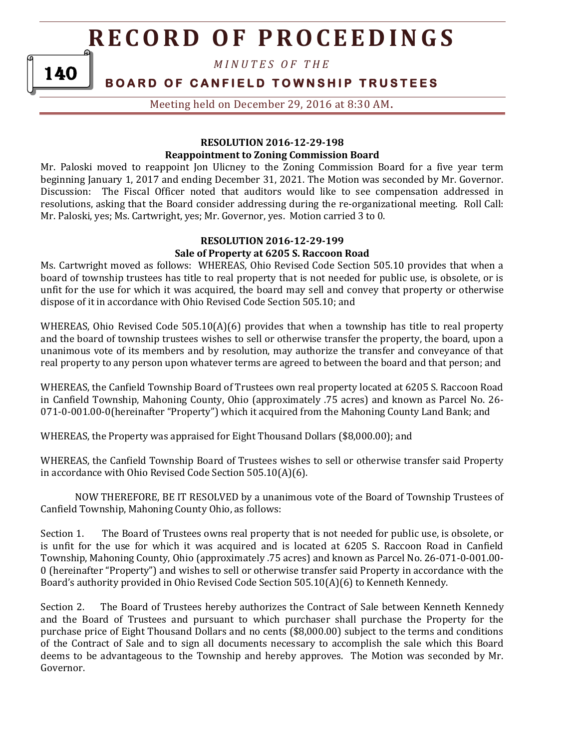# **R E C O R D O F P R O C E E D I N GS**

*M I N U T E S O F T H E* 

## **BOARD OF CANFIELD TOWNSHIP TRUSTEES**

140

Meeting held on December 29, 2016 at 8:30 AM**.**

#### **RESOLUTION 2016-12-29-198 Reappointment to Zoning Commission Board**

Mr. Paloski moved to reappoint Jon Ulicney to the Zoning Commission Board for a five year term beginning January 1, 2017 and ending December 31, 2021. The Motion was seconded by Mr. Governor. Discussion: The Fiscal Officer noted that auditors would like to see compensation addressed in resolutions, asking that the Board consider addressing during the re-organizational meeting. Roll Call: Mr. Paloski, yes; Ms. Cartwright, yes; Mr. Governor, yes. Motion carried 3 to 0.

#### **RESOLUTION 2016-12-29-199 Sale of Property at 6205 S. Raccoon Road**

Ms. Cartwright moved as follows: WHEREAS, Ohio Revised Code Section 505.10 provides that when a board of township trustees has title to real property that is not needed for public use, is obsolete, or is unfit for the use for which it was acquired, the board may sell and convey that property or otherwise dispose of it in accordance with Ohio Revised Code Section 505.10; and

WHEREAS, Ohio Revised Code  $505.10(A)(6)$  provides that when a township has title to real property and the board of township trustees wishes to sell or otherwise transfer the property, the board, upon a unanimous vote of its members and by resolution, may authorize the transfer and conveyance of that real property to any person upon whatever terms are agreed to between the board and that person; and

WHEREAS, the Canfield Township Board of Trustees own real property located at 6205 S. Raccoon Road in Canfield Township, Mahoning County, Ohio (approximately .75 acres) and known as Parcel No. 26- 071-0-001.00-0(hereinafter "Property") which it acquired from the Mahoning County Land Bank; and

WHEREAS, the Property was appraised for Eight Thousand Dollars (\$8,000.00); and

WHEREAS, the Canfield Township Board of Trustees wishes to sell or otherwise transfer said Property in accordance with Ohio Revised Code Section 505.10(A)(6).

NOW THEREFORE, BE IT RESOLVED by a unanimous vote of the Board of Township Trustees of Canfield Township, Mahoning County Ohio, as follows:

Section 1. The Board of Trustees owns real property that is not needed for public use, is obsolete, or is unfit for the use for which it was acquired and is located at 6205 S. Raccoon Road in Canfield Township, Mahoning County, Ohio (approximately .75 acres) and known as Parcel No. 26-071-0-001.00- 0 (hereinafter "Property") and wishes to sell or otherwise transfer said Property in accordance with the Board's authority provided in Ohio Revised Code Section 505.10(A)(6) to Kenneth Kennedy.

Section 2. The Board of Trustees hereby authorizes the Contract of Sale between Kenneth Kennedy and the Board of Trustees and pursuant to which purchaser shall purchase the Property for the purchase price of Eight Thousand Dollars and no cents (\$8,000.00) subject to the terms and conditions of the Contract of Sale and to sign all documents necessary to accomplish the sale which this Board deems to be advantageous to the Township and hereby approves. The Motion was seconded by Mr. Governor.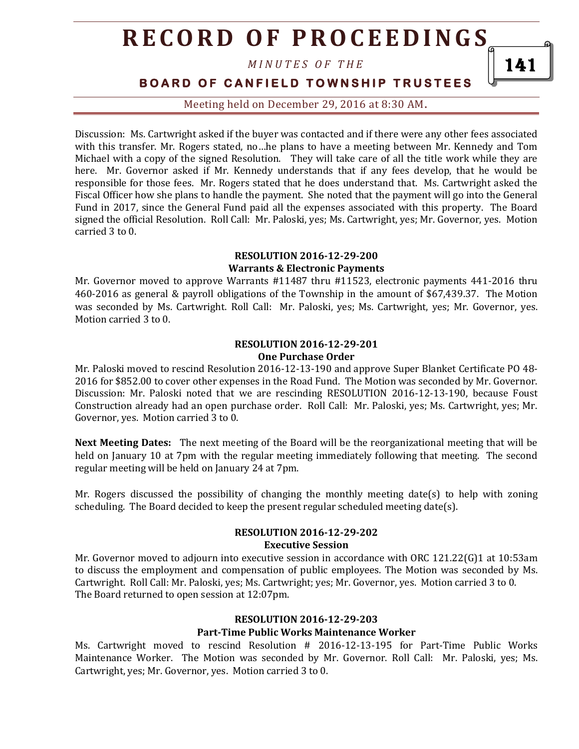# **R E C O R D O F P R O C E E D I N G S**

*M I N U T E S O F T H E* 

**BOARD OF CANFIELD TOWNSHIP TRUSTEES** 

Meeting held on December 29, 2016 at 8:30 AM**.**

Discussion: Ms. Cartwright asked if the buyer was contacted and if there were any other fees associated with this transfer. Mr. Rogers stated, no…he plans to have a meeting between Mr. Kennedy and Tom Michael with a copy of the signed Resolution. They will take care of all the title work while they are here. Mr. Governor asked if Mr. Kennedy understands that if any fees develop, that he would be responsible for those fees. Mr. Rogers stated that he does understand that. Ms. Cartwright asked the Fiscal Officer how she plans to handle the payment. She noted that the payment will go into the General Fund in 2017, since the General Fund paid all the expenses associated with this property. The Board signed the official Resolution. Roll Call: Mr. Paloski, yes; Ms. Cartwright, yes; Mr. Governor, yes. Motion carried 3 to 0.

#### **RESOLUTION 2016-12-29-200 Warrants & Electronic Payments**

Mr. Governor moved to approve Warrants #11487 thru #11523, electronic payments 441-2016 thru 460-2016 as general & payroll obligations of the Township in the amount of \$67,439.37. The Motion was seconded by Ms. Cartwright. Roll Call: Mr. Paloski, yes; Ms. Cartwright, yes; Mr. Governor, yes. Motion carried 3 to 0.

#### **RESOLUTION 2016-12-29-201 One Purchase Order**

Mr. Paloski moved to rescind Resolution 2016-12-13-190 and approve Super Blanket Certificate PO 48- 2016 for \$852.00 to cover other expenses in the Road Fund. The Motion was seconded by Mr. Governor. Discussion: Mr. Paloski noted that we are rescinding RESOLUTION 2016-12-13-190, because Foust Construction already had an open purchase order. Roll Call: Mr. Paloski, yes; Ms. Cartwright, yes; Mr. Governor, yes. Motion carried 3 to 0.

**Next Meeting Dates:** The next meeting of the Board will be the reorganizational meeting that will be held on January 10 at 7pm with the regular meeting immediately following that meeting. The second regular meeting will be held on January 24 at 7pm.

Mr. Rogers discussed the possibility of changing the monthly meeting date(s) to help with zoning scheduling. The Board decided to keep the present regular scheduled meeting date(s).

#### **RESOLUTION 2016-12-29-202**

#### **Executive Session**

Mr. Governor moved to adjourn into executive session in accordance with ORC 121.22(G)1 at 10:53am to discuss the employment and compensation of public employees. The Motion was seconded by Ms. Cartwright. Roll Call: Mr. Paloski, yes; Ms. Cartwright; yes; Mr. Governor, yes. Motion carried 3 to 0. The Board returned to open session at 12:07pm.

#### **RESOLUTION 2016-12-29-203 Part-Time Public Works Maintenance Worker**

Ms. Cartwright moved to rescind Resolution # 2016-12-13-195 for Part-Time Public Works Maintenance Worker. The Motion was seconded by Mr. Governor. Roll Call: Mr. Paloski, yes; Ms. Cartwright, yes; Mr. Governor, yes. Motion carried 3 to 0.

141